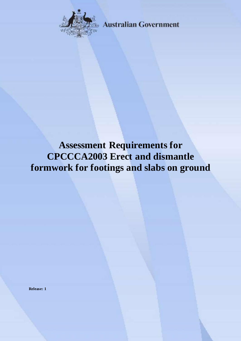

**Australian Government** 

# **Assessment Requirements for CPCCCA2003 Erect and dismantle formwork for footings and slabs on ground**

**Release: 1**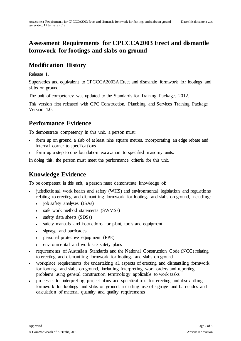## **Assessment Requirements for CPCCCA2003 Erect and dismantle formwork for footings and slabs on ground**

#### **Modification History**

Release 1.

Supersedes and equivalent to CPCCCA2003A Erect and dismantle formwork for footings and slabs on ground.

The unit of competency was updated to the Standards for Training Packages 2012.

This version first released with CPC Construction, Plumbing and Services Training Package Version 4.0.

## **Performance Evidence**

To demonstrate competency in this unit, a person must:

- form up on ground a slab of at least nine square metres, incorporating an edge rebate and internal corner to specifications
- form up a step to one foundation excavation to specified masonry units.

In doing this, the person must meet the performance criteria for this unit.

## **Knowledge Evidence**

To be competent in this unit, a person must demonstrate knowledge of:

- jurisdictional work health and safety (WHS) and environmental legislation and regulations relating to erecting and dismantling formwork for footings and slabs on ground, including:
	- job safety analyses (JSAs)
	- safe work method statements (SWMSs)
	- safety data sheets (SDSs)
	- safety manuals and instructions for plant, tools and equipment
	- signage and barricades
	- personal protective equipment (PPE)
	- environmental and work site safety plans
- requirements of Australian Standards and the National Construction Code (NCC) relating to erecting and dismantling formwork for footings and slabs on ground
- workplace requirements for undertaking all aspects of erecting and dismantling formwork for footings and slabs on ground, including interpreting work orders and reporting problems using general construction terminology applicable to work tasks
- processes for interpreting project plans and specifications for erecting and dismantling formwork for footings and slabs on ground, including use of signage and barricades and calculation of material quantity and quality requirements